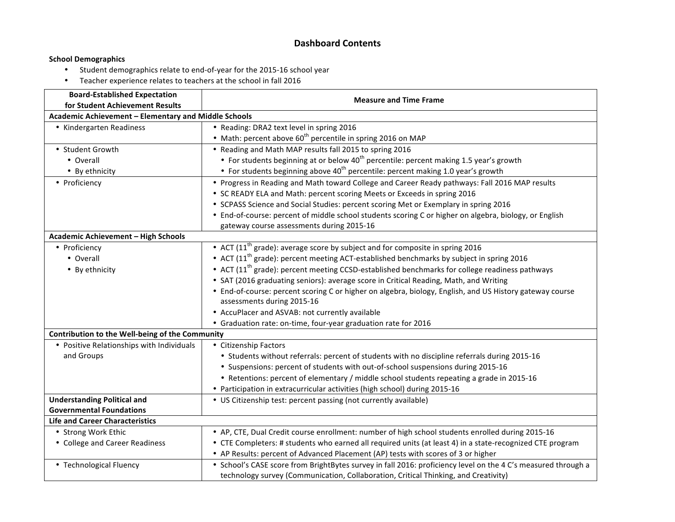### **Dashboard Contents**

#### **School Demographics**

- Student demographics relate to end-of-year for the 2015-16 school year
- Teacher experience relates to teachers at the school in fall 2016

| <b>Board-Established Expectation</b>                 |                                                                                                               |  |  |  |  |  |  |  |  |
|------------------------------------------------------|---------------------------------------------------------------------------------------------------------------|--|--|--|--|--|--|--|--|
| for Student Achievement Results                      | <b>Measure and Time Frame</b>                                                                                 |  |  |  |  |  |  |  |  |
| Academic Achievement - Elementary and Middle Schools |                                                                                                               |  |  |  |  |  |  |  |  |
| • Kindergarten Readiness                             | • Reading: DRA2 text level in spring 2016                                                                     |  |  |  |  |  |  |  |  |
|                                                      | • Math: percent above 60 <sup>th</sup> percentile in spring 2016 on MAP                                       |  |  |  |  |  |  |  |  |
| • Student Growth                                     | • Reading and Math MAP results fall 2015 to spring 2016                                                       |  |  |  |  |  |  |  |  |
| • Overall                                            | • For students beginning at or below 40 <sup>th</sup> percentile: percent making 1.5 year's growth            |  |  |  |  |  |  |  |  |
| • By ethnicity                                       | • For students beginning above 40 <sup>th</sup> percentile: percent making 1.0 year's growth                  |  |  |  |  |  |  |  |  |
| • Proficiency                                        | . Progress in Reading and Math toward College and Career Ready pathways: Fall 2016 MAP results                |  |  |  |  |  |  |  |  |
|                                                      | • SC READY ELA and Math: percent scoring Meets or Exceeds in spring 2016                                      |  |  |  |  |  |  |  |  |
|                                                      | • SCPASS Science and Social Studies: percent scoring Met or Exemplary in spring 2016                          |  |  |  |  |  |  |  |  |
|                                                      | • End-of-course: percent of middle school students scoring C or higher on algebra, biology, or English        |  |  |  |  |  |  |  |  |
|                                                      | gateway course assessments during 2015-16                                                                     |  |  |  |  |  |  |  |  |
| <b>Academic Achievement - High Schools</b>           |                                                                                                               |  |  |  |  |  |  |  |  |
| • Proficiency                                        | • ACT (11 <sup>th</sup> grade): average score by subject and for composite in spring 2016                     |  |  |  |  |  |  |  |  |
| • Overall                                            | • ACT (11 <sup>th</sup> grade): percent meeting ACT-established benchmarks by subject in spring 2016          |  |  |  |  |  |  |  |  |
| • By ethnicity                                       | • ACT (11 <sup>th</sup> grade): percent meeting CCSD-established benchmarks for college readiness pathways    |  |  |  |  |  |  |  |  |
|                                                      | • SAT (2016 graduating seniors): average score in Critical Reading, Math, and Writing                         |  |  |  |  |  |  |  |  |
|                                                      | • End-of-course: percent scoring C or higher on algebra, biology, English, and US History gateway course      |  |  |  |  |  |  |  |  |
|                                                      | assessments during 2015-16                                                                                    |  |  |  |  |  |  |  |  |
|                                                      | • AccuPlacer and ASVAB: not currently available                                                               |  |  |  |  |  |  |  |  |
|                                                      | • Graduation rate: on-time, four-year graduation rate for 2016                                                |  |  |  |  |  |  |  |  |
| Contribution to the Well-being of the Community      |                                                                                                               |  |  |  |  |  |  |  |  |
| • Positive Relationships with Individuals            | • Citizenship Factors                                                                                         |  |  |  |  |  |  |  |  |
| and Groups                                           | • Students without referrals: percent of students with no discipline referrals during 2015-16                 |  |  |  |  |  |  |  |  |
|                                                      | • Suspensions: percent of students with out-of-school suspensions during 2015-16                              |  |  |  |  |  |  |  |  |
|                                                      | • Retentions: percent of elementary / middle school students repeating a grade in 2015-16                     |  |  |  |  |  |  |  |  |
|                                                      | • Participation in extracurricular activities (high school) during 2015-16                                    |  |  |  |  |  |  |  |  |
| <b>Understanding Political and</b>                   | • US Citizenship test: percent passing (not currently available)                                              |  |  |  |  |  |  |  |  |
| <b>Governmental Foundations</b>                      |                                                                                                               |  |  |  |  |  |  |  |  |
| <b>Life and Career Characteristics</b>               |                                                                                                               |  |  |  |  |  |  |  |  |
| • Strong Work Ethic                                  | • AP, CTE, Dual Credit course enrollment: number of high school students enrolled during 2015-16              |  |  |  |  |  |  |  |  |
| • College and Career Readiness                       | • CTE Completers: # students who earned all required units (at least 4) in a state-recognized CTE program     |  |  |  |  |  |  |  |  |
|                                                      | • AP Results: percent of Advanced Placement (AP) tests with scores of 3 or higher                             |  |  |  |  |  |  |  |  |
| • Technological Fluency                              | • School's CASE score from BrightBytes survey in fall 2016: proficiency level on the 4 C's measured through a |  |  |  |  |  |  |  |  |
|                                                      | technology survey (Communication, Collaboration, Critical Thinking, and Creativity)                           |  |  |  |  |  |  |  |  |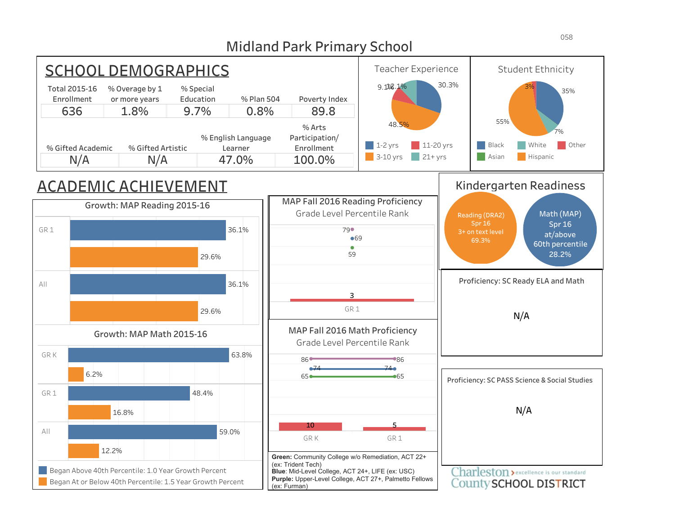

### Midland Park Primary School